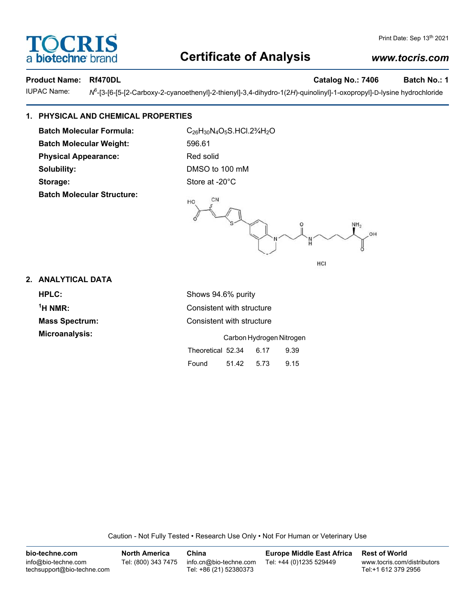# **Certificate of Analysis**

Product Name: Rf470DL **Catalog No.: 7406** Batch No.: 1

bio-techne bi

OCRIS

**IUPAC Name:** 

-[3-[6-[5-[2-Carboxy-2-cyanoethenyl]-2-thienyl]-3,4-dihydro-1(2*H*)-quinolinyl]-1-oxopropyl]-D-lysine hydrochloride

# **1. PHYSICAL AND CHEMICAL PROPERTIES**

Batch Molecular Formula: C<sub>26</sub>H<sub>30</sub>N<sub>4</sub>O<sub>5</sub>S.HCl.2<sup>3</sup>/<sub>4</sub>H<sub>2</sub>O **Batch Molecular Weight:** 596.61 **Physical Appearance:** Red solid **Solubility:** DMSO to 100 mM Storage: Store at -20°C **Batch Molecular Structure:**



### **2. ANALYTICAL DATA**

**HPLC:** Shows 94.6% purity <sup>1</sup>H NMR: **Mass Spectrum:** Consistent with structure **Microanalysis:** Carbon Hydrogen Nitrogen

**Consistent with structure** Theoretical 52.34 6.17 9.39 Found 51.42 5.73 9.15

Caution - Not Fully Tested • Research Use Only • Not For Human or Veterinary Use

| bio-techne.com                                    | <b>North America</b> | China                                            | <b>Europe Middle East Africa</b> | <b>Rest of World</b>                               |
|---------------------------------------------------|----------------------|--------------------------------------------------|----------------------------------|----------------------------------------------------|
| info@bio-techne.com<br>techsupport@bio-techne.com | Tel: (800) 343 7475  | info.cn@bio-techne.com<br>Tel: +86 (21) 52380373 | Tel: +44 (0)1235 529449          | www.tocris.com/distributors<br>Tel:+1 612 379 2956 |

# *www.tocris.com*